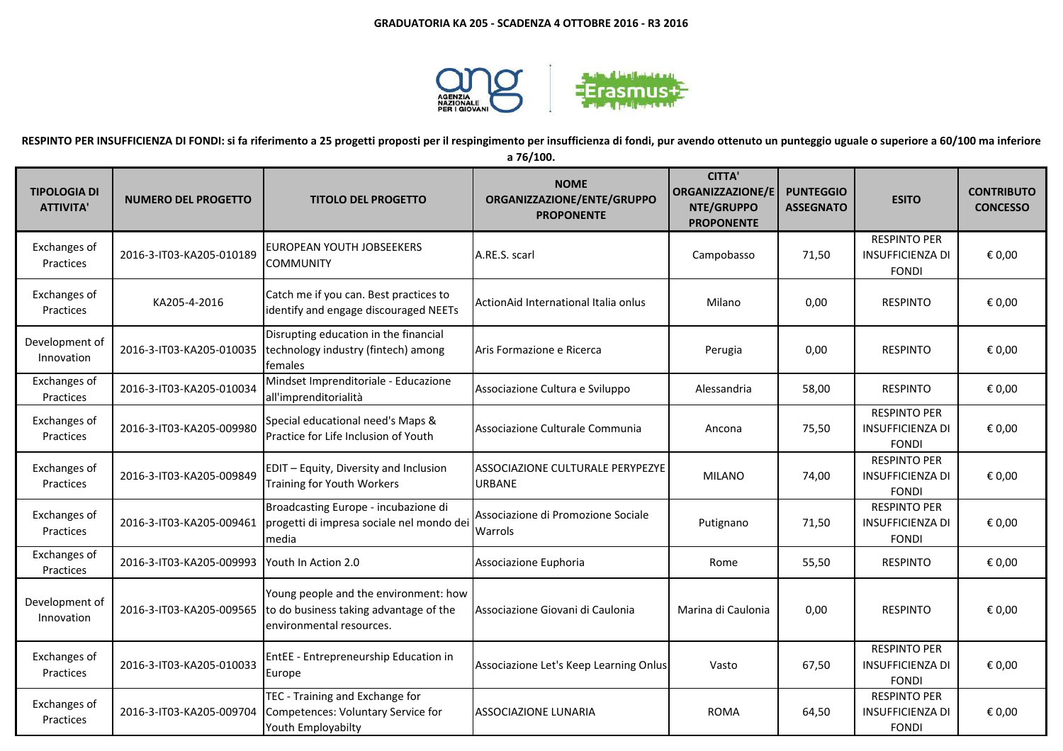

**RESPINTO PER INSUFFICIENZA DI FONDI: si fa riferimento a 25 progetti proposti per il respingimento per insufficienza di fondi, pur avendo ottenuto un punteggio uguale o superiore a 60/100 ma inferiore** 

| a 76/100. |  |
|-----------|--|
|-----------|--|

| <b>TIPOLOGIA DI</b><br><b>ATTIVITA'</b> | <b>NUMERO DEL PROGETTO</b> | <b>TITOLO DEL PROGETTO</b>                                                                                          | <b>NOME</b><br>ORGANIZZAZIONE/ENTE/GRUPPO<br><b>PROPONENTE</b> | <b>CITTA'</b><br><b>ORGANIZZAZIONE/E</b><br>NTE/GRUPPO<br><b>PROPONENTE</b> | <b>PUNTEGGIO</b><br><b>ASSEGNATO</b> | <b>ESITO</b>                                                   | <b>CONTRIBUTO</b><br><b>CONCESSO</b> |
|-----------------------------------------|----------------------------|---------------------------------------------------------------------------------------------------------------------|----------------------------------------------------------------|-----------------------------------------------------------------------------|--------------------------------------|----------------------------------------------------------------|--------------------------------------|
| Exchanges of<br>Practices               | 2016-3-IT03-KA205-010189   | EUROPEAN YOUTH JOBSEEKERS<br><b>COMMUNITY</b>                                                                       | A.RE.S. scarl                                                  | Campobasso                                                                  | 71,50                                | <b>RESPINTO PER</b><br><b>INSUFFICIENZA DI</b><br><b>FONDI</b> | € 0,00                               |
| Exchanges of<br>Practices               | KA205-4-2016               | Catch me if you can. Best practices to<br>identify and engage discouraged NEETs                                     | ActionAid International Italia onlus                           | Milano                                                                      | 0,00                                 | <b>RESPINTO</b>                                                | € 0,00                               |
| Development of<br>Innovation            | 2016-3-IT03-KA205-010035   | Disrupting education in the financial<br>technology industry (fintech) among<br>females                             | Aris Formazione e Ricerca                                      | Perugia                                                                     | 0,00                                 | <b>RESPINTO</b>                                                | € 0,00                               |
| Exchanges of<br>Practices               | 2016-3-IT03-KA205-010034   | Mindset Imprenditoriale - Educazione<br>all'imprenditorialità                                                       | Associazione Cultura e Sviluppo                                | Alessandria                                                                 | 58,00                                | <b>RESPINTO</b>                                                | € 0,00                               |
| Exchanges of<br>Practices               | 2016-3-IT03-KA205-009980   | Special educational need's Maps &<br>Practice for Life Inclusion of Youth                                           | Associazione Culturale Communia                                | Ancona                                                                      | 75,50                                | <b>RESPINTO PER</b><br><b>INSUFFICIENZA DI</b><br><b>FONDI</b> | € 0,00                               |
| Exchanges of<br><b>Practices</b>        | 2016-3-IT03-KA205-009849   | EDIT - Equity, Diversity and Inclusion<br><b>Training for Youth Workers</b>                                         | ASSOCIAZIONE CULTURALE PERYPEZYE<br><b>URBANE</b>              | <b>MILANO</b>                                                               | 74,00                                | <b>RESPINTO PER</b><br><b>INSUFFICIENZA DI</b><br><b>FONDI</b> | € 0,00                               |
| Exchanges of<br>Practices               |                            | Broadcasting Europe - incubazione di<br>2016-3-IT03-KA205-009461 progetti di impresa sociale nel mondo dei<br>media | Associazione di Promozione Sociale<br>Warrols                  | Putignano                                                                   | 71,50                                | <b>RESPINTO PER</b><br><b>INSUFFICIENZA DI</b><br><b>FONDI</b> | € 0,00                               |
| Exchanges of<br>Practices               | 2016-3-IT03-KA205-009993   | Youth In Action 2.0                                                                                                 | Associazione Euphoria                                          | Rome                                                                        | 55,50                                | <b>RESPINTO</b>                                                | € 0,00                               |
| Development of<br>Innovation            | 2016-3-IT03-KA205-009565   | Young people and the environment: how<br>to do business taking advantage of the<br>environmental resources.         | Associazione Giovani di Caulonia                               | Marina di Caulonia                                                          | 0,00                                 | <b>RESPINTO</b>                                                | € 0,00                               |
| Exchanges of<br>Practices               | 2016-3-IT03-KA205-010033   | EntEE - Entrepreneurship Education in<br>Europe                                                                     | Associazione Let's Keep Learning Onlus                         | Vasto                                                                       | 67,50                                | <b>RESPINTO PER</b><br><b>INSUFFICIENZA DI</b><br><b>FONDI</b> | € 0,00                               |
| Exchanges of<br>Practices               | 2016-3-IT03-KA205-009704   | TEC - Training and Exchange for<br>Competences: Voluntary Service for<br>Youth Employabilty                         | ASSOCIAZIONE LUNARIA                                           | <b>ROMA</b>                                                                 | 64,50                                | <b>RESPINTO PER</b><br><b>INSUFFICIENZA DI</b><br><b>FONDI</b> | € 0,00                               |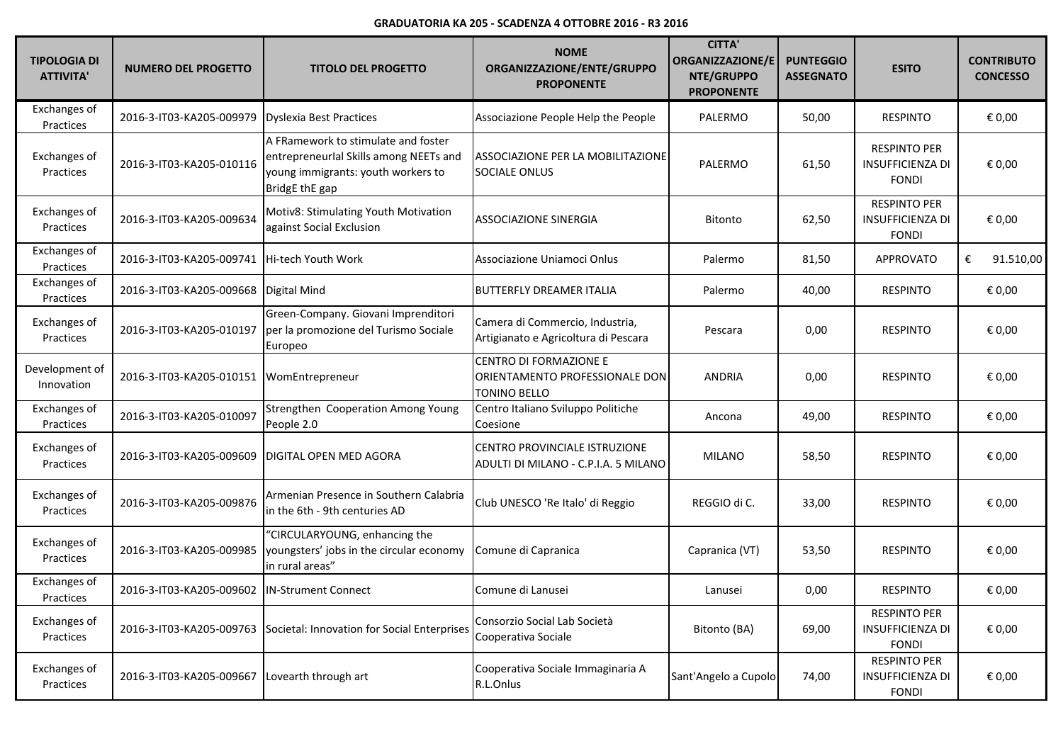| <b>TIPOLOGIA DI</b><br><b>ATTIVITA'</b> | <b>NUMERO DEL PROGETTO</b> | <b>TITOLO DEL PROGETTO</b>                                                                                                            | <b>NOME</b><br>ORGANIZZAZIONE/ENTE/GRUPPO<br><b>PROPONENTE</b>           | <b>CITTA'</b><br>ORGANIZZAZIONE/E<br>NTE/GRUPPO<br><b>PROPONENTE</b> | <b>PUNTEGGIO</b><br><b>ASSEGNATO</b> | <b>ESITO</b>                                                   | <b>CONTRIBUTO</b><br><b>CONCESSO</b> |
|-----------------------------------------|----------------------------|---------------------------------------------------------------------------------------------------------------------------------------|--------------------------------------------------------------------------|----------------------------------------------------------------------|--------------------------------------|----------------------------------------------------------------|--------------------------------------|
| Exchanges of<br>Practices               | 2016-3-IT03-KA205-009979   | Dyslexia Best Practices                                                                                                               | Associazione People Help the People                                      | PALERMO                                                              | 50,00                                | <b>RESPINTO</b>                                                | € 0,00                               |
| <b>Exchanges of</b><br>Practices        | 2016-3-IT03-KA205-010116   | A FRamework to stimulate and foster<br>entrepreneurlal Skills among NEETs and<br>young immigrants: youth workers to<br>BridgE thE gap | ASSOCIAZIONE PER LA MOBILITAZIONE<br>SOCIALE ONLUS                       | PALERMO                                                              | 61,50                                | <b>RESPINTO PER</b><br>INSUFFICIENZA DI<br><b>FONDI</b>        | € 0,00                               |
| <b>Exchanges of</b><br>Practices        | 2016-3-IT03-KA205-009634   | Motiv8: Stimulating Youth Motivation<br>against Social Exclusion                                                                      | <b>ASSOCIAZIONE SINERGIA</b>                                             | <b>Bitonto</b>                                                       | 62,50                                | <b>RESPINTO PER</b><br><b>INSUFFICIENZA DI</b><br><b>FONDI</b> | € 0,00                               |
| <b>Exchanges of</b><br>Practices        | 2016-3-IT03-KA205-009741   | Hi-tech Youth Work                                                                                                                    | Associazione Uniamoci Onlus                                              | Palermo                                                              | 81,50                                | <b>APPROVATO</b>                                               | €<br>91.510,00                       |
| <b>Exchanges of</b><br>Practices        | 2016-3-IT03-KA205-009668   | Digital Mind                                                                                                                          | <b>BUTTERFLY DREAMER ITALIA</b>                                          | Palermo                                                              | 40,00                                | <b>RESPINTO</b>                                                | € 0,00                               |
| <b>Exchanges of</b><br>Practices        | 2016-3-IT03-KA205-010197   | Green-Company. Giovani Imprenditori<br>per la promozione del Turismo Sociale<br>Europeo                                               | Camera di Commercio, Industria,<br>Artigianato e Agricoltura di Pescara  | Pescara                                                              | 0,00                                 | <b>RESPINTO</b>                                                | € 0,00                               |
| Development of<br>Innovation            | 2016-3-IT03-KA205-010151   | WomEntrepreneur                                                                                                                       | CENTRO DI FORMAZIONE E<br>ORIENTAMENTO PROFESSIONALE DON<br>TONINO BELLO | <b>ANDRIA</b>                                                        | 0,00                                 | <b>RESPINTO</b>                                                | € 0,00                               |
| Exchanges of<br>Practices               | 2016-3-IT03-KA205-010097   | Strengthen Cooperation Among Young<br>People 2.0                                                                                      | Centro Italiano Sviluppo Politiche<br>Coesione                           | Ancona                                                               | 49,00                                | <b>RESPINTO</b>                                                | € 0,00                               |
| <b>Exchanges of</b><br>Practices        | 2016-3-IT03-KA205-009609   | <b>IDIGITAL OPEN MED AGORA</b>                                                                                                        | CENTRO PROVINCIALE ISTRUZIONE<br>ADULTI DI MILANO - C.P.I.A. 5 MILANO    | <b>MILANO</b>                                                        | 58,50                                | <b>RESPINTO</b>                                                | € 0,00                               |
| Exchanges of<br>Practices               | 2016-3-IT03-KA205-009876   | Armenian Presence in Southern Calabria<br>in the 6th - 9th centuries AD                                                               | Club UNESCO 'Re Italo' di Reggio                                         | REGGIO di C.                                                         | 33,00                                | <b>RESPINTO</b>                                                | € 0,00                               |
| <b>Exchanges of</b><br>Practices        | 2016-3-IT03-KA205-009985   | "CIRCULARYOUNG, enhancing the<br>youngsters' jobs in the circular economy<br>in rural areas"                                          | Comune di Capranica                                                      | Capranica (VT)                                                       | 53,50                                | <b>RESPINTO</b>                                                | € 0,00                               |
| Exchanges of<br>Practices               | 2016-3-IT03-KA205-009602   | <b>IN-Strument Connect</b>                                                                                                            | Comune di Lanusei                                                        | Lanusei                                                              | 0,00                                 | <b>RESPINTO</b>                                                | € 0,00                               |
| Exchanges of<br>Practices               | 2016-3-IT03-KA205-009763   | Societal: Innovation for Social Enterprises                                                                                           | Consorzio Social Lab Società<br>Cooperativa Sociale                      | Bitonto (BA)                                                         | 69,00                                | <b>RESPINTO PER</b><br>INSUFFICIENZA DI<br><b>FONDI</b>        | € 0,00                               |
| Exchanges of<br>Practices               | 2016-3-IT03-KA205-009667   | Lovearth through art                                                                                                                  | Cooperativa Sociale Immaginaria A<br>R.L.Onlus                           | Sant'Angelo a Cupolo                                                 | 74,00                                | <b>RESPINTO PER</b><br><b>INSUFFICIENZA DI</b><br><b>FONDI</b> | € 0,00                               |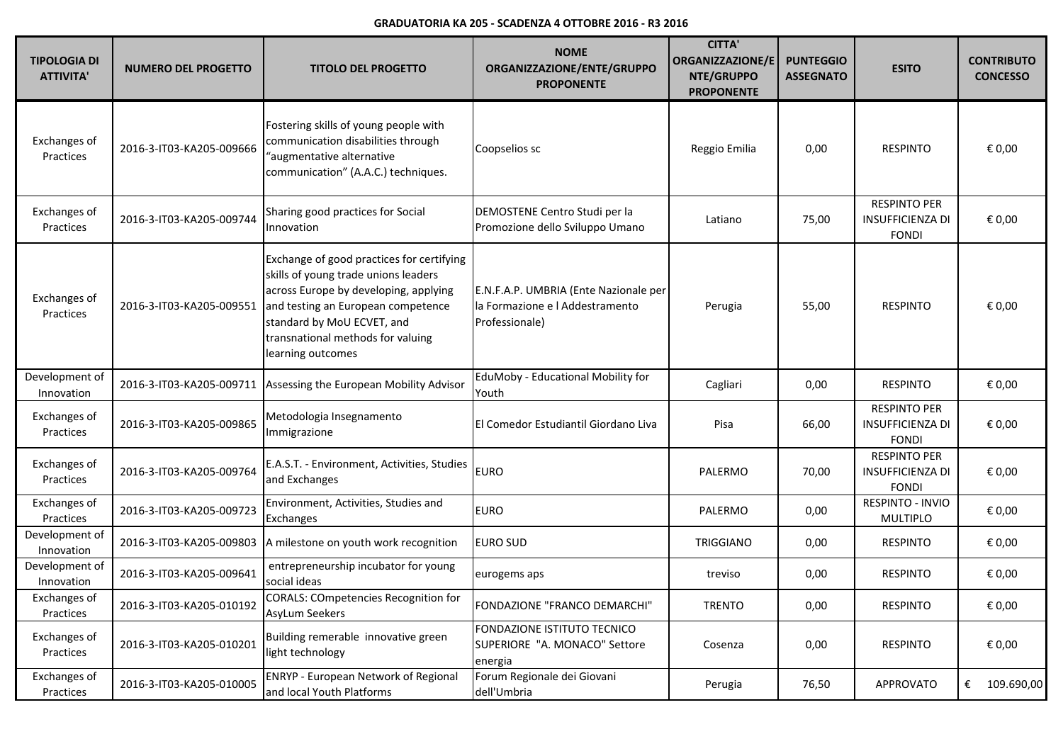| TIPOLOGIA DI<br><b>ATTIVITA'</b> | <b>NUMERO DEL PROGETTO</b> | <b>TITOLO DEL PROGETTO</b>                                                                                                                                                                                                                               | <b>NOME</b><br>ORGANIZZAZIONE/ENTE/GRUPPO<br><b>PROPONENTE</b>                             | <b>CITTA'</b><br><b>ORGANIZZAZIONE/E</b><br>NTE/GRUPPO<br><b>PROPONENTE</b> | <b>PUNTEGGIO</b><br><b>ASSEGNATO</b> | <b>ESITO</b>                                                   | <b>CONTRIBUTO</b><br><b>CONCESSO</b> |
|----------------------------------|----------------------------|----------------------------------------------------------------------------------------------------------------------------------------------------------------------------------------------------------------------------------------------------------|--------------------------------------------------------------------------------------------|-----------------------------------------------------------------------------|--------------------------------------|----------------------------------------------------------------|--------------------------------------|
| Exchanges of<br>Practices        | 2016-3-IT03-KA205-009666   | Fostering skills of young people with<br>communication disabilities through<br>"augmentative alternative<br>communication" (A.A.C.) techniques.                                                                                                          | Coopselios sc                                                                              | Reggio Emilia                                                               | 0,00                                 | <b>RESPINTO</b>                                                | € 0,00                               |
| Exchanges of<br>Practices        | 2016-3-IT03-KA205-009744   | Sharing good practices for Social<br>Innovation                                                                                                                                                                                                          | DEMOSTENE Centro Studi per la<br>Promozione dello Sviluppo Umano                           | Latiano                                                                     | 75,00                                | <b>RESPINTO PER</b><br><b>INSUFFICIENZA DI</b><br><b>FONDI</b> | € 0,00                               |
| Exchanges of<br>Practices        | 2016-3-IT03-KA205-009551   | Exchange of good practices for certifying<br>skills of young trade unions leaders<br>across Europe by developing, applying<br>and testing an European competence<br>standard by MoU ECVET, and<br>transnational methods for valuing<br>learning outcomes | E.N.F.A.P. UMBRIA (Ente Nazionale per<br>la Formazione e l Addestramento<br>Professionale) | Perugia                                                                     | 55,00                                | <b>RESPINTO</b>                                                | € 0,00                               |
| Development of<br>Innovation     | 2016-3-IT03-KA205-009711   | Assessing the European Mobility Advisor                                                                                                                                                                                                                  | EduMoby - Educational Mobility for<br>Youth                                                | Cagliari                                                                    | 0,00                                 | <b>RESPINTO</b>                                                | € 0,00                               |
| Exchanges of<br>Practices        | 2016-3-IT03-KA205-009865   | Metodologia Insegnamento<br>Immigrazione                                                                                                                                                                                                                 | El Comedor Estudiantil Giordano Liva                                                       | Pisa                                                                        | 66,00                                | <b>RESPINTO PER</b><br><b>INSUFFICIENZA DI</b><br><b>FONDI</b> | € 0,00                               |
| Exchanges of<br>Practices        | 2016-3-IT03-KA205-009764   | E.A.S.T. - Environment, Activities, Studies<br>and Exchanges                                                                                                                                                                                             | <b>EURO</b>                                                                                | PALERMO                                                                     | 70,00                                | <b>RESPINTO PER</b><br><b>INSUFFICIENZA DI</b><br><b>FONDI</b> | € 0,00                               |
| Exchanges of<br>Practices        | 2016-3-IT03-KA205-009723   | Environment, Activities, Studies and<br>Exchanges                                                                                                                                                                                                        | <b>EURO</b>                                                                                | PALERMO                                                                     | 0,00                                 | RESPINTO - INVIO<br><b>MULTIPLO</b>                            | € 0,00                               |
| Development of<br>Innovation     | 2016-3-IT03-KA205-009803   | A milestone on youth work recognition                                                                                                                                                                                                                    | <b>EURO SUD</b>                                                                            | TRIGGIANO                                                                   | 0,00                                 | <b>RESPINTO</b>                                                | € 0,00                               |
| Development of<br>Innovation     | 2016-3-IT03-KA205-009641   | entrepreneurship incubator for young<br>social ideas                                                                                                                                                                                                     | eurogems aps                                                                               | treviso                                                                     | 0,00                                 | <b>RESPINTO</b>                                                | € 0,00                               |
| Exchanges of<br>Practices        | 2016-3-IT03-KA205-010192   | CORALS: COmpetencies Recognition for<br>AsyLum Seekers                                                                                                                                                                                                   | FONDAZIONE "FRANCO DEMARCHI"                                                               | <b>TRENTO</b>                                                               | 0,00                                 | <b>RESPINTO</b>                                                | € 0,00                               |
| Exchanges of<br>Practices        | 2016-3-IT03-KA205-010201   | Building remerable innovative green<br>light technology                                                                                                                                                                                                  | FONDAZIONE ISTITUTO TECNICO<br>SUPERIORE "A. MONACO" Settore<br>energia                    | Cosenza                                                                     | 0,00                                 | <b>RESPINTO</b>                                                | € 0,00                               |
| Exchanges of<br>Practices        | 2016-3-IT03-KA205-010005   | <b>ENRYP</b> - European Network of Regional<br>and local Youth Platforms                                                                                                                                                                                 | Forum Regionale dei Giovani<br>dell'Umbria                                                 | Perugia                                                                     | 76,50                                | APPROVATO                                                      | €<br>109.690,00                      |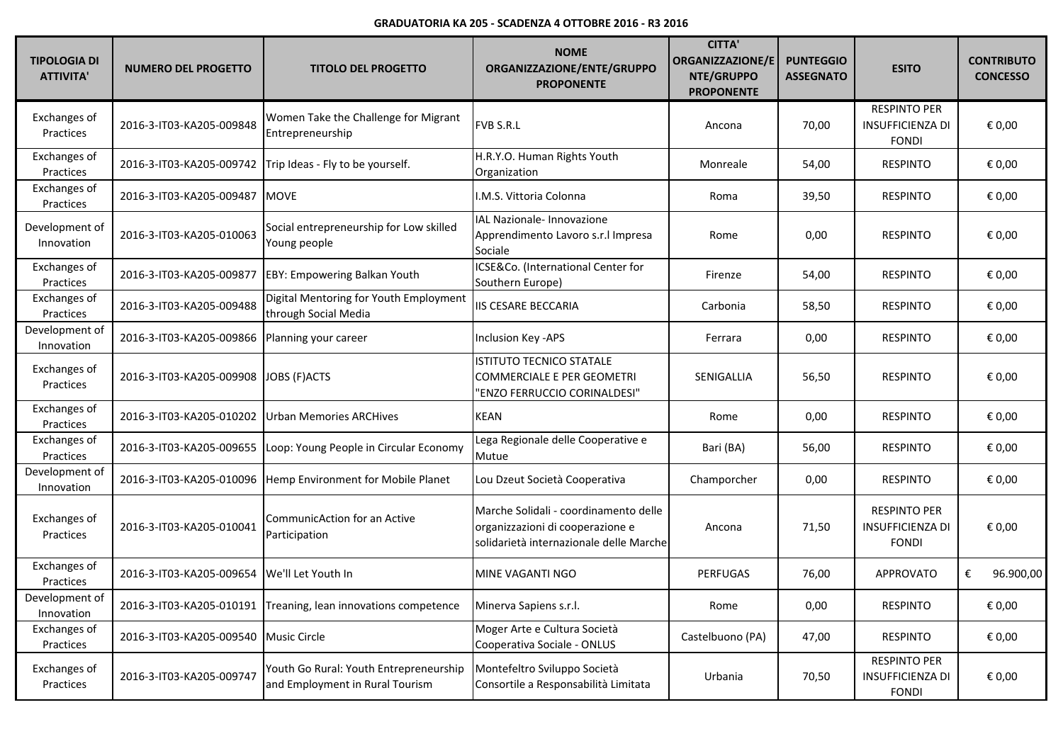| <b>TIPOLOGIA DI</b><br><b>ATTIVITA'</b> | <b>NUMERO DEL PROGETTO</b> | <b>TITOLO DEL PROGETTO</b>                                                | <b>NOME</b><br>ORGANIZZAZIONE/ENTE/GRUPPO<br><b>PROPONENTE</b>                                                       | <b>CITTA'</b><br><b>ORGANIZZAZIONE/E</b><br>NTE/GRUPPO<br><b>PROPONENTE</b> | <b>PUNTEGGIO</b><br><b>ASSEGNATO</b> | <b>ESITO</b>                                                   | <b>CONTRIBUTO</b><br><b>CONCESSO</b> |
|-----------------------------------------|----------------------------|---------------------------------------------------------------------------|----------------------------------------------------------------------------------------------------------------------|-----------------------------------------------------------------------------|--------------------------------------|----------------------------------------------------------------|--------------------------------------|
| Exchanges of<br>Practices               | 2016-3-IT03-KA205-009848   | Women Take the Challenge for Migrant<br>Entrepreneurship                  | FVB S.R.L                                                                                                            | Ancona                                                                      | 70,00                                | <b>RESPINTO PER</b><br><b>INSUFFICIENZA DI</b><br><b>FONDI</b> | € 0,00                               |
| Exchanges of<br>Practices               | 2016-3-IT03-KA205-009742   | Trip Ideas - Fly to be yourself.                                          | H.R.Y.O. Human Rights Youth<br>Organization                                                                          | Monreale                                                                    | 54,00                                | <b>RESPINTO</b>                                                | € 0,00                               |
| Exchanges of<br>Practices               | 2016-3-IT03-KA205-009487   | <b>MOVE</b>                                                               | I.M.S. Vittoria Colonna                                                                                              | Roma                                                                        | 39,50                                | <b>RESPINTO</b>                                                | € 0,00                               |
| Development of<br>Innovation            | 2016-3-IT03-KA205-010063   | Social entrepreneurship for Low skilled<br>Young people                   | IAL Nazionale- Innovazione<br>Apprendimento Lavoro s.r. I Impresa<br>Sociale                                         | Rome                                                                        | 0,00                                 | <b>RESPINTO</b>                                                | € 0,00                               |
| Exchanges of<br>Practices               | 2016-3-IT03-KA205-009877   | EBY: Empowering Balkan Youth                                              | ICSE&Co. (International Center for<br>Southern Europe)                                                               | Firenze                                                                     | 54,00                                | <b>RESPINTO</b>                                                | € 0,00                               |
| Exchanges of<br>Practices               | 2016-3-IT03-KA205-009488   | Digital Mentoring for Youth Employment<br>through Social Media            | IIS CESARE BECCARIA                                                                                                  | Carbonia                                                                    | 58,50                                | <b>RESPINTO</b>                                                | € 0,00                               |
| Development of<br>Innovation            | 2016-3-IT03-KA205-009866   | Planning your career                                                      | Inclusion Key - APS                                                                                                  | Ferrara                                                                     | 0,00                                 | <b>RESPINTO</b>                                                | € 0,00                               |
| Exchanges of<br>Practices               | 2016-3-IT03-KA205-009908   | JOBS (F)ACTS                                                              | <b>ISTITUTO TECNICO STATALE</b><br><b>COMMERCIALE E PER GEOMETRI</b><br>'ENZO FERRUCCIO CORINALDESI"                 | SENIGALLIA                                                                  | 56,50                                | <b>RESPINTO</b>                                                | € 0,00                               |
| Exchanges of<br>Practices               | 2016-3-IT03-KA205-010202   | Urban Memories ARCHives                                                   | <b>KEAN</b>                                                                                                          | Rome                                                                        | 0,00                                 | <b>RESPINTO</b>                                                | € 0,00                               |
| Exchanges of<br>Practices               | 2016-3-IT03-KA205-009655   | Loop: Young People in Circular Economy                                    | Lega Regionale delle Cooperative e<br>Mutue                                                                          | Bari (BA)                                                                   | 56,00                                | <b>RESPINTO</b>                                                | € 0,00                               |
| Development of<br>Innovation            | 2016-3-IT03-KA205-010096   | Hemp Environment for Mobile Planet                                        | Lou Dzeut Società Cooperativa                                                                                        | Champorcher                                                                 | 0,00                                 | <b>RESPINTO</b>                                                | € 0,00                               |
| Exchanges of<br>Practices               | 2016-3-IT03-KA205-010041   | CommunicAction for an Active<br>Participation                             | Marche Solidali - coordinamento delle<br>organizzazioni di cooperazione e<br>solidarietà internazionale delle Marche | Ancona                                                                      | 71,50                                | <b>RESPINTO PER</b><br><b>INSUFFICIENZA DI</b><br><b>FONDI</b> | € 0,00                               |
| Exchanges of<br>Practices               | 2016-3-IT03-KA205-009654   | We'll Let Youth In                                                        | MINE VAGANTI NGO                                                                                                     | <b>PERFUGAS</b>                                                             | 76,00                                | <b>APPROVATO</b>                                               | €<br>96.900,00                       |
| Development of<br>Innovation            | 2016-3-IT03-KA205-010191   | Treaning, lean innovations competence                                     | Minerva Sapiens s.r.l.                                                                                               | Rome                                                                        | 0,00                                 | <b>RESPINTO</b>                                                | € 0,00                               |
| Exchanges of<br>Practices               | 2016-3-IT03-KA205-009540   | Music Circle                                                              | Moger Arte e Cultura Società<br>Cooperativa Sociale - ONLUS                                                          | Castelbuono (PA)                                                            | 47,00                                | <b>RESPINTO</b>                                                | € 0,00                               |
| Exchanges of<br>Practices               | 2016-3-IT03-KA205-009747   | Youth Go Rural: Youth Entrepreneurship<br>and Employment in Rural Tourism | Montefeltro Sviluppo Società<br>Consortile a Responsabilità Limitata                                                 | Urbania                                                                     | 70,50                                | <b>RESPINTO PER</b><br><b>INSUFFICIENZA DI</b><br><b>FONDI</b> | € 0,00                               |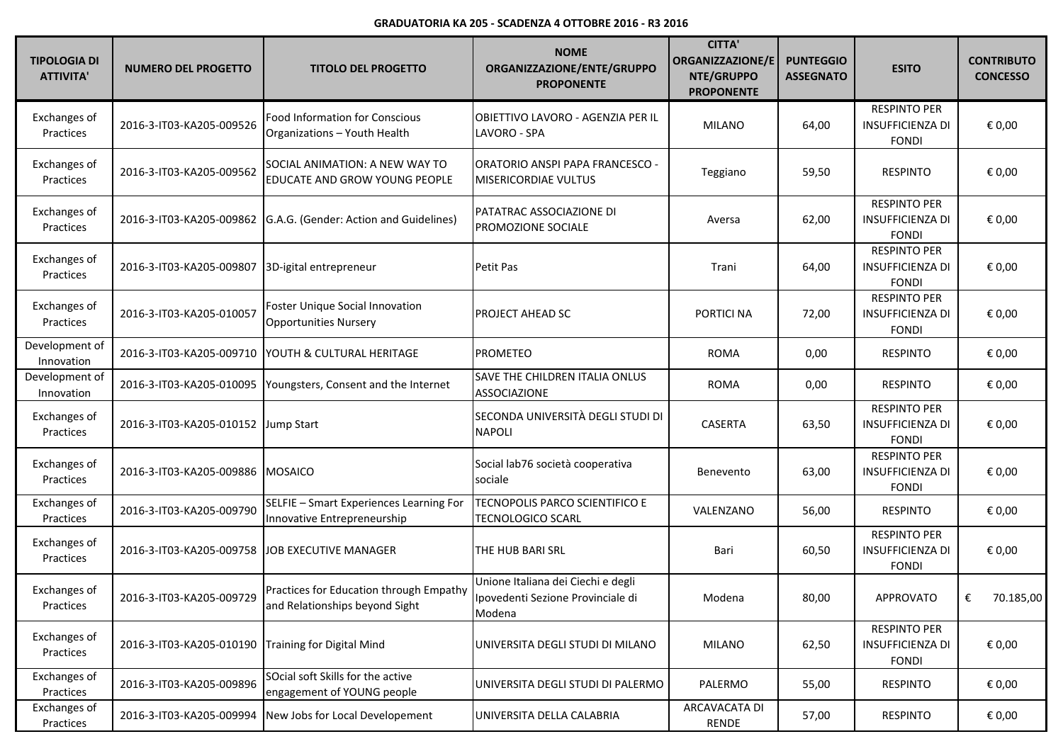| <b>TIPOLOGIA DI</b><br><b>ATTIVITA'</b> | <b>NUMERO DEL PROGETTO</b>          | <b>TITOLO DEL PROGETTO</b>                                                | <b>NOME</b><br>ORGANIZZAZIONE/ENTE/GRUPPO<br><b>PROPONENTE</b>                    | <b>CITTA'</b><br>ORGANIZZAZIONE/E<br>NTE/GRUPPO<br><b>PROPONENTE</b> | <b>PUNTEGGIO</b><br><b>ASSEGNATO</b> | <b>ESITO</b>                                                   | <b>CONTRIBUTO</b><br><b>CONCESSO</b> |
|-----------------------------------------|-------------------------------------|---------------------------------------------------------------------------|-----------------------------------------------------------------------------------|----------------------------------------------------------------------|--------------------------------------|----------------------------------------------------------------|--------------------------------------|
| Exchanges of<br>Practices               | 2016-3-IT03-KA205-009526            | <b>Food Information for Conscious</b><br>Organizations - Youth Health     | OBIETTIVO LAVORO - AGENZIA PER IL<br>LAVORO - SPA                                 | <b>MILANO</b>                                                        | 64,00                                | <b>RESPINTO PER</b><br><b>INSUFFICIENZA DI</b><br><b>FONDI</b> | € 0,00                               |
| Exchanges of<br>Practices               | 2016-3-IT03-KA205-009562            | SOCIAL ANIMATION: A NEW WAY TO<br>EDUCATE AND GROW YOUNG PEOPLE           | ORATORIO ANSPI PAPA FRANCESCO -<br><b>MISERICORDIAE VULTUS</b>                    | Teggiano                                                             | 59,50                                | <b>RESPINTO</b>                                                | € 0,00                               |
| Exchanges of<br>Practices               | 2016-3-IT03-KA205-009862            | G.A.G. (Gender: Action and Guidelines)                                    | PATATRAC ASSOCIAZIONE DI<br>PROMOZIONE SOCIALE                                    | Aversa                                                               | 62,00                                | <b>RESPINTO PER</b><br><b>INSUFFICIENZA DI</b><br><b>FONDI</b> | € 0,00                               |
| Exchanges of<br>Practices               | 2016-3-IT03-KA205-009807            | 3D-igital entrepreneur                                                    | Petit Pas                                                                         | Trani                                                                | 64,00                                | <b>RESPINTO PER</b><br><b>INSUFFICIENZA DI</b><br><b>FONDI</b> | € 0,00                               |
| Exchanges of<br>Practices               | 2016-3-IT03-KA205-010057            | Foster Unique Social Innovation<br><b>Opportunities Nursery</b>           | PROJECT AHEAD SC                                                                  | PORTICI NA                                                           | 72,00                                | <b>RESPINTO PER</b><br><b>INSUFFICIENZA DI</b><br><b>FONDI</b> | € 0,00                               |
| Development of<br>Innovation            | 2016-3-IT03-KA205-009710            | YOUTH & CULTURAL HERITAGE                                                 | <b>PROMETEO</b>                                                                   | <b>ROMA</b>                                                          | 0,00                                 | <b>RESPINTO</b>                                                | € 0,00                               |
| Development of<br>Innovation            | 2016-3-IT03-KA205-010095            | Youngsters, Consent and the Internet                                      | SAVE THE CHILDREN ITALIA ONLUS<br><b>ASSOCIAZIONE</b>                             | <b>ROMA</b>                                                          | 0,00                                 | <b>RESPINTO</b>                                                | € 0,00                               |
| Exchanges of<br>Practices               | 2016-3-IT03-KA205-010152 Jump Start |                                                                           | SECONDA UNIVERSITÀ DEGLI STUDI DI<br><b>NAPOLI</b>                                | <b>CASERTA</b>                                                       | 63,50                                | <b>RESPINTO PER</b><br><b>INSUFFICIENZA DI</b><br><b>FONDI</b> | € 0,00                               |
| Exchanges of<br>Practices               | 2016-3-IT03-KA205-009886            | <b>MOSAICO</b>                                                            | Social lab76 società cooperativa<br>sociale                                       | Benevento                                                            | 63,00                                | <b>RESPINTO PER</b><br><b>INSUFFICIENZA DI</b><br><b>FONDI</b> | € 0,00                               |
| Exchanges of<br>Practices               | 2016-3-IT03-KA205-009790            | SELFIE - Smart Experiences Learning For<br>Innovative Entrepreneurship    | TECNOPOLIS PARCO SCIENTIFICO E<br><b>TECNOLOGICO SCARL</b>                        | VALENZANO                                                            | 56,00                                | <b>RESPINTO</b>                                                | € 0,00                               |
| Exchanges of<br>Practices               | 2016-3-IT03-KA205-009758            | JOB EXECUTIVE MANAGER                                                     | THE HUB BARI SRL                                                                  | Bari                                                                 | 60,50                                | <b>RESPINTO PER</b><br><b>INSUFFICIENZA DI</b><br><b>FONDI</b> | € 0,00                               |
| Exchanges of<br>Practices               | 2016-3-IT03-KA205-009729            | Practices for Education through Empathy<br>and Relationships beyond Sight | Unione Italiana dei Ciechi e degli<br>Ipovedenti Sezione Provinciale di<br>Modena | Modena                                                               | 80,00                                | <b>APPROVATO</b>                                               | €<br>70.185,00                       |
| Exchanges of<br>Practices               | 2016-3-IT03-KA205-010190            | <b>Training for Digital Mind</b>                                          | UNIVERSITA DEGLI STUDI DI MILANO                                                  | <b>MILANO</b>                                                        | 62,50                                | <b>RESPINTO PER</b><br><b>INSUFFICIENZA DI</b><br><b>FONDI</b> | € 0,00                               |
| Exchanges of<br>Practices               | 2016-3-IT03-KA205-009896            | SOcial soft Skills for the active<br>engagement of YOUNG people           | UNIVERSITA DEGLI STUDI DI PALERMO                                                 | PALERMO                                                              | 55,00                                | <b>RESPINTO</b>                                                | € 0,00                               |
| Exchanges of<br>Practices               | 2016-3-IT03-KA205-009994            | New Jobs for Local Developement                                           | UNIVERSITA DELLA CALABRIA                                                         | ARCAVACATA DI<br>RENDE                                               | 57,00                                | <b>RESPINTO</b>                                                | € 0,00                               |